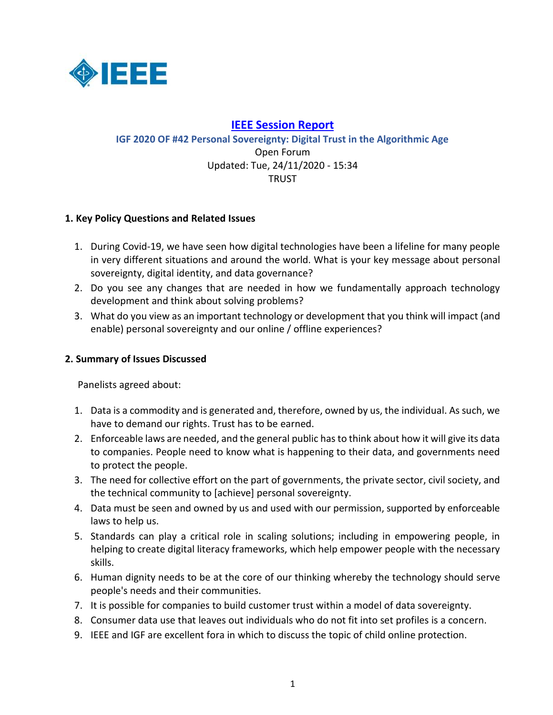

# **IEEE [Session Report](https://www.intgovforum.org/multilingual/igf-2020-reports?field_theme_copy_tid%5B%5D=993&type%5B%5D=open_forum&feed_me=)**

**[IGF 2020 OF #42 Personal Sovereignty: Digital Trust in the Algorithmic Age](https://www.intgovforum.org/multilingual/content/igf-2020-of-42-personal-sovereignty-digital-trust-in-the-algorithmic-age)** Open Forum Updated: Tue, 24/11/2020 - 15:34 TRUST

# **1. Key Policy Questions and Related Issues**

- 1. During Covid-19, we have seen how digital technologies have been a lifeline for many people in very different situations and around the world. What is your key message about personal sovereignty, digital identity, and data governance?
- 2. Do you see any changes that are needed in how we fundamentally approach technology development and think about solving problems?
- 3. What do you view as an important technology or development that you think will impact (and enable) personal sovereignty and our online / offline experiences?

### **2. Summary of Issues Discussed**

Panelists agreed about:

- 1. Data is a commodity and is generated and, therefore, owned by us, the individual. As such, we have to demand our rights. Trust has to be earned.
- 2. Enforceable laws are needed, and the general public has to think about how it will give its data to companies. People need to know what is happening to their data, and governments need to protect the people.
- 3. The need for collective effort on the part of governments, the private sector, civil society, and the technical community to [achieve] personal sovereignty.
- 4. Data must be seen and owned by us and used with our permission, supported by enforceable laws to help us.
- 5. Standards can play a critical role in scaling solutions; including in empowering people, in helping to create digital literacy frameworks, which help empower people with the necessary skills.
- 6. Human dignity needs to be at the core of our thinking whereby the technology should serve people's needs and their communities.
- 7. It is possible for companies to build customer trust within a model of data sovereignty.
- 8. Consumer data use that leaves out individuals who do not fit into set profiles is a concern.
- 9. IEEE and IGF are excellent fora in which to discuss the topic of child online protection.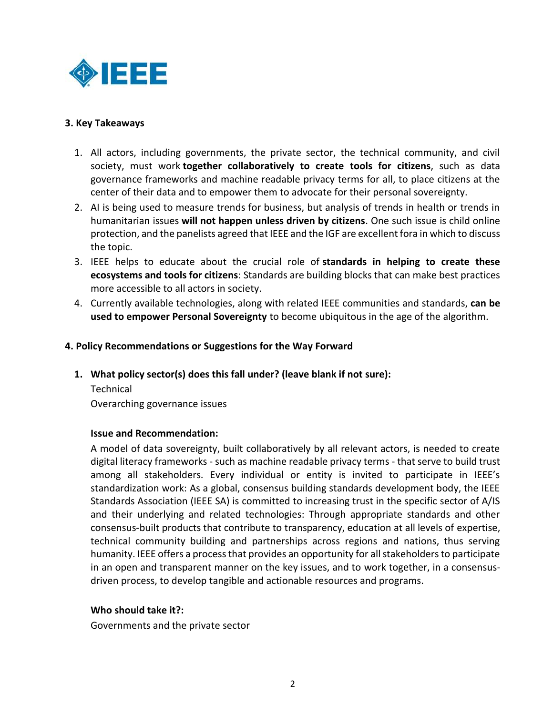

### **3. Key Takeaways**

- 1. All actors, including governments, the private sector, the technical community, and civil society, must work **together collaboratively to create tools for citizens**, such as data governance frameworks and machine readable privacy terms for all, to place citizens at the center of their data and to empower them to advocate for their personal sovereignty.
- 2. AI is being used to measure trends for business, but analysis of trends in health or trends in humanitarian issues **will not happen unless driven by citizens**. One such issue is child online protection, and the panelists agreed that IEEE and the IGF are excellent fora in which to discuss the topic.
- 3. IEEE helps to educate about the crucial role of **standards in helping to create these ecosystems and tools for citizens**: Standards are building blocks that can make best practices more accessible to all actors in society.
- 4. Currently available technologies, along with related IEEE communities and standards, **can be used to empower Personal Sovereignty** to become ubiquitous in the age of the algorithm.

## **4. Policy Recommendations or Suggestions for the Way Forward**

**1. What policy sector(s) does this fall under? (leave blank if not sure):**

Technical Overarching governance issues

### **Issue and Recommendation:**

A model of data sovereignty, built collaboratively by all relevant actors, is needed to create digital literacy frameworks - such as machine readable privacy terms - that serve to build trust among all stakeholders. Every individual or entity is invited to participate in IEEE's standardization work: As a global, consensus building standards development body, the IEEE Standards Association (IEEE SA) is committed to increasing trust in the specific sector of A/IS and their underlying and related technologies: Through appropriate standards and other consensus-built products that contribute to transparency, education at all levels of expertise, technical community building and partnerships across regions and nations, thus serving humanity. IEEE offers a process that provides an opportunity for all stakeholders to participate in an open and transparent manner on the key issues, and to work together, in a consensusdriven process, to develop tangible and actionable resources and programs.

# **Who should take it?:**

Governments and the private sector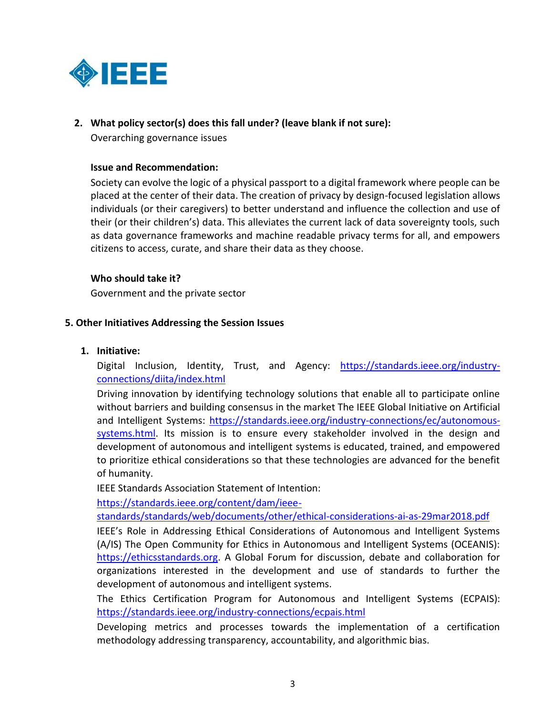

# **2. What policy sector(s) does this fall under? (leave blank if not sure):**

Overarching governance issues

#### **Issue and Recommendation:**

Society can evolve the logic of a physical passport to a digital framework where people can be placed at the center of their data. The creation of privacy by design-focused legislation allows individuals (or their caregivers) to better understand and influence the collection and use of their (or their children's) data. This alleviates the current lack of data sovereignty tools, such as data governance frameworks and machine readable privacy terms for all, and empowers citizens to access, curate, and share their data as they choose.

### **Who should take it?**

Government and the private sector

#### **5. Other Initiatives Addressing the Session Issues**

#### **1. Initiative:**

Digital Inclusion, Identity, Trust, and Agency: [https://standards.ieee.org/industry](https://standards.ieee.org/industry-connections/diita/index.html)[connections/diita/index.html](https://standards.ieee.org/industry-connections/diita/index.html)

Driving innovation by identifying technology solutions that enable all to participate online without barriers and building consensus in the market The IEEE Global Initiative on Artificial and Intelligent Systems: [https://standards.ieee.org/industry-connections/ec/autonomous](https://standards.ieee.org/industry-connections/ec/autonomous-systems.html)[systems.html.](https://standards.ieee.org/industry-connections/ec/autonomous-systems.html) Its mission is to ensure every stakeholder involved in the design and development of autonomous and intelligent systems is educated, trained, and empowered to prioritize ethical considerations so that these technologies are advanced for the benefit of humanity.

IEEE Standards Association Statement of Intention:

[https://standards.ieee.org/content/dam/ieee-](https://standards.ieee.org/content/dam/ieee-standards/standards/web/documents/other/ethical-considerations-ai-as-29mar2018.pdf)

[standards/standards/web/documents/other/ethical-considerations-ai-as-29mar2018.pdf](https://standards.ieee.org/content/dam/ieee-standards/standards/web/documents/other/ethical-considerations-ai-as-29mar2018.pdf)

IEEE's Role in Addressing Ethical Considerations of Autonomous and Intelligent Systems (A/IS) The Open Community for Ethics in Autonomous and Intelligent Systems (OCEANIS): [https://ethicsstandards.org.](https://ethicsstandards.org/) A Global Forum for discussion, debate and collaboration for organizations interested in the development and use of standards to further the development of autonomous and intelligent systems.

The Ethics Certification Program for Autonomous and Intelligent Systems (ECPAIS): <https://standards.ieee.org/industry-connections/ecpais.html>

Developing metrics and processes towards the implementation of a certification methodology addressing transparency, accountability, and algorithmic bias.